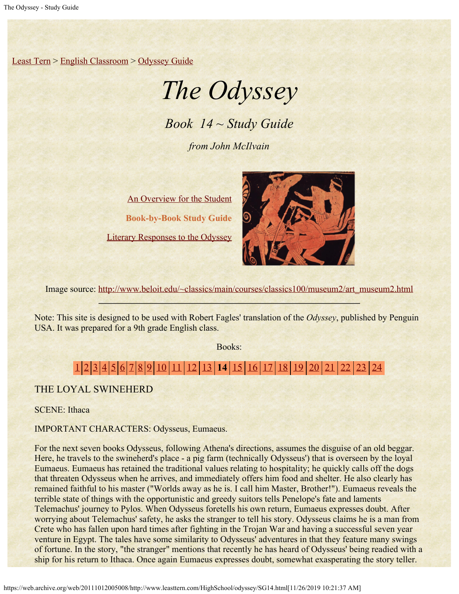[Least Tern](https://web.archive.org/web/20111012005008/http://www.leasttern.com/index.html) > [English Classroom](https://web.archive.org/web/20111012005008/http://www.leasttern.com/Engclass.html) > [Odyssey Guide](https://web.archive.org/web/20111012005008/http://www.leasttern.com/HighSchool/odyssey/Odyssey.html)

# *The Odyssey*

*Book 14 ~ Study Guide*

*from John McIlvain*

[An Overview for the Student](https://web.archive.org/web/20111012005008/http://www.leasttern.com/HighSchool/odyssey/Odyssey1.html) **Book-by-Book Study Guide** [Literary Responses to the Odyssey](https://web.archive.org/web/20111012005008/http://www.leasttern.com/HighSchool/odyssey/Odysseyresponses.html)



Image source: [http://www.beloit.edu/~classics/main/courses/classics100/museum2/art\\_museum2.html](https://web.archive.org/web/20111012005008/http://www.beloit.edu/%7Eclassics/main/courses/classics100/museum2/art_museum2.html)

Note: This site is designed to be used with Robert Fagles' translation of the *Odyssey*, published by Penguin USA. It was prepared for a 9th grade English class.

Books:

## [1](https://web.archive.org/web/20111012005008/http://www.leasttern.com/HighSchool/odyssey/SG1.html) [2](https://web.archive.org/web/20111012005008/http://www.leasttern.com/HighSchool/odyssey/SG2.html) [3](https://web.archive.org/web/20111012005008/http://www.leasttern.com/HighSchool/odyssey/SG3.html) [4](https://web.archive.org/web/20111012005008/http://www.leasttern.com/HighSchool/odyssey/SG4.html) [5](https://web.archive.org/web/20111012005008/http://www.leasttern.com/HighSchool/odyssey/SG5.html) [6](https://web.archive.org/web/20111012005008/http://www.leasttern.com/HighSchool/odyssey/SG6.html) [7](https://web.archive.org/web/20111012005008/http://www.leasttern.com/HighSchool/odyssey/SG7.html) [8](https://web.archive.org/web/20111012005008/http://www.leasttern.com/HighSchool/odyssey/SG8.html) [9](https://web.archive.org/web/20111012005008/http://www.leasttern.com/HighSchool/odyssey/SG9.html) [10](https://web.archive.org/web/20111012005008/http://www.leasttern.com/HighSchool/odyssey/SG10.html) [11](https://web.archive.org/web/20111012005008/http://www.leasttern.com/HighSchool/odyssey/SG11.html) [12](https://web.archive.org/web/20111012005008/http://www.leasttern.com/HighSchool/odyssey/SG12.html) [13](https://web.archive.org/web/20111012005008/http://www.leasttern.com/HighSchool/odyssey/SG13.html) **14** [15](https://web.archive.org/web/20111012005008/http://www.leasttern.com/HighSchool/odyssey/SG15.html) [16](https://web.archive.org/web/20111012005008/http://www.leasttern.com/HighSchool/odyssey/SG16.html) [17](https://web.archive.org/web/20111012005008/http://www.leasttern.com/HighSchool/odyssey/SG17.html) [18](https://web.archive.org/web/20111012005008/http://www.leasttern.com/HighSchool/odyssey/SG18.html) [19](https://web.archive.org/web/20111012005008/http://www.leasttern.com/HighSchool/odyssey/SG19.html) [20](https://web.archive.org/web/20111012005008/http://www.leasttern.com/HighSchool/odyssey/SG20.html) [21](https://web.archive.org/web/20111012005008/http://www.leasttern.com/HighSchool/odyssey/SG21.html) [22](https://web.archive.org/web/20111012005008/http://www.leasttern.com/HighSchool/odyssey/SG22.html) [23](https://web.archive.org/web/20111012005008/http://www.leasttern.com/HighSchool/odyssey/SG23.html) [24](https://web.archive.org/web/20111012005008/http://www.leasttern.com/HighSchool/odyssey/SG24.html)

THE LOYAL SWINEHERD

SCENE: Ithaca

IMPORTANT CHARACTERS: Odysseus, Eumaeus.

For the next seven books Odysseus, following Athena's directions, assumes the disguise of an old beggar. Here, he travels to the swineherd's place - a pig farm (technically Odysseus') that is overseen by the loyal Eumaeus. Eumaeus has retained the traditional values relating to hospitality; he quickly calls off the dogs that threaten Odysseus when he arrives, and immediately offers him food and shelter. He also clearly has remained faithful to his master ("Worlds away as he is. I call him Master, Brother!"). Eumaeus reveals the terrible state of things with the opportunistic and greedy suitors tells Penelope's fate and laments Telemachus' journey to Pylos. When Odysseus foretells his own return, Eumaeus expresses doubt. After worrying about Telemachus' safety, he asks the stranger to tell his story. Odysseus claims he is a man from Crete who has fallen upon hard times after fighting in the Trojan War and having a successful seven year venture in Egypt. The tales have some similarity to Odysseus' adventures in that they feature many swings of fortune. In the story, "the stranger" mentions that recently he has heard of Odysseus' being readied with a ship for his return to Ithaca. Once again Eumaeus expresses doubt, somewhat exasperating the story teller.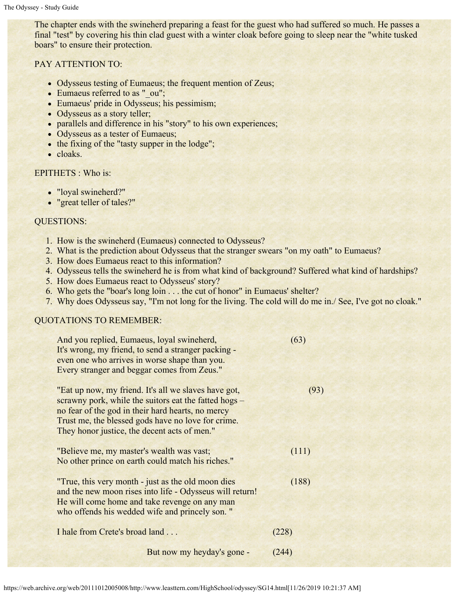The chapter ends with the swineherd preparing a feast for the guest who had suffered so much. He passes a final "test" by covering his thin clad guest with a winter cloak before going to sleep near the "white tusked boars" to ensure their protection.

#### PAY ATTENTION TO:

- Odysseus testing of Eumaeus; the frequent mention of Zeus;
- Eumaeus referred to as " ou";
- Eumaeus' pride in Odysseus; his pessimism;
- Odysseus as a story teller;
- parallels and difference in his "story" to his own experiences;
- Odysseus as a tester of Eumaeus;
- the fixing of the "tasty supper in the lodge";
- cloaks.

#### EPITHETS : Who is:

- "loyal swineherd?"
- "great teller of tales?"

#### QUESTIONS:

- 1. How is the swineherd (Eumaeus) connected to Odysseus?
- 2. What is the prediction about Odysseus that the stranger swears "on my oath" to Eumaeus?
- 3. How does Eumaeus react to this information?
- 4. Odysseus tells the swineherd he is from what kind of background? Suffered what kind of hardships?
- 5. How does Eumaeus react to Odysseus' story?
- 6. Who gets the "boar's long loin . . . the cut of honor" in Eumaeus' shelter?
- 7. Why does Odysseus say, "I'm not long for the living. The cold will do me in./ See, I've got no cloak."

### QUOTATIONS TO REMEMBER:

| And you replied, Eumaeus, loyal swineherd,<br>It's wrong, my friend, to send a stranger packing -<br>even one who arrives in worse shape than you.<br>Every stranger and beggar comes from Zeus."                                                                        | (63)  |
|--------------------------------------------------------------------------------------------------------------------------------------------------------------------------------------------------------------------------------------------------------------------------|-------|
| "Eat up now, my friend. It's all we slaves have got,<br>scrawny pork, while the suitors eat the fatted hogs –<br>no fear of the god in their hard hearts, no mercy<br>Trust me, the blessed gods have no love for crime.<br>They honor justice, the decent acts of men." | (93)  |
| "Believe me, my master's wealth was vast;<br>No other prince on earth could match his riches."                                                                                                                                                                           | (111) |
| "True, this very month - just as the old moon dies<br>and the new moon rises into life - Odysseus will return!<br>He will come home and take revenge on any man<br>who offends his wedded wife and princely son."                                                        | (188) |
| I hale from Crete's broad land                                                                                                                                                                                                                                           | (228) |
| But now my heyday's gone -                                                                                                                                                                                                                                               | (244) |